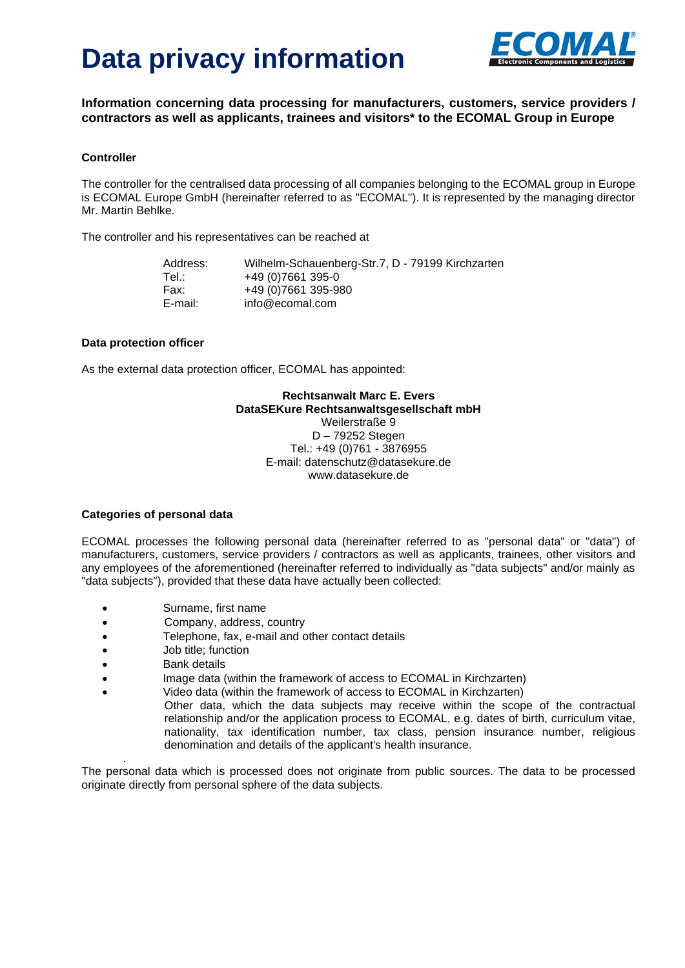

**Information concerning data processing for manufacturers, customers, service providers / contractors as well as applicants, trainees and visitors\* to the ECOMAL Group in Europe**

#### **Controller**

The controller for the centralised data processing of all companies belonging to the ECOMAL group in Europe is ECOMAL Europe GmbH (hereinafter referred to as "ECOMAL"). It is represented by the managing director Mr. Martin Behlke.

The controller and his representatives can be reached at

Address: Wilhelm-Schauenberg-Str.7, D - 79199 Kirchzarten Tel.: +49 (0) 7661 395-0 Fax: +49 (0)7661 395-980 E-mail: info@ecomal.com

#### **Data protection officer**

As the external data protection officer, ECOMAL has appointed:

## **Rechtsanwalt Marc E. Evers DataSEKure Rechtsanwaltsgesellschaft mbH**

Weilerstraße 9 D – 79252 Stegen Tel.: +49 [\(0\)761](Tel.:+49761387690) - 3876955 E-mail: datenschutz@datasekure.de www.datasekure.de

#### **Categories of personal data**

ECOMAL processes the following personal data (hereinafter referred to as "personal data" or "data") of manufacturers, customers, service providers / contractors as well as applicants, trainees, other visitors and any employees of the aforementioned (hereinafter referred to individually as "data subjects" and/or mainly as "data subjects"), provided that these data have actually been collected:

- Surname, first name
- Company, address, country
- Telephone, fax, e-mail and other contact details
- Job title; function
- Bank details

.

- Image data (within the framework of access to ECOMAL in Kirchzarten)
- Video data (within the framework of access to ECOMAL in Kirchzarten)
	- Other data, which the data subjects may receive within the scope of the contractual relationship and/or the application process to ECOMAL, e.g. dates of birth, curriculum vitae, nationality, tax identification number, tax class, pension insurance number, religious denomination and details of the applicant's health insurance.

The personal data which is processed does not originate from public sources. The data to be processed originate directly from personal sphere of the data subjects.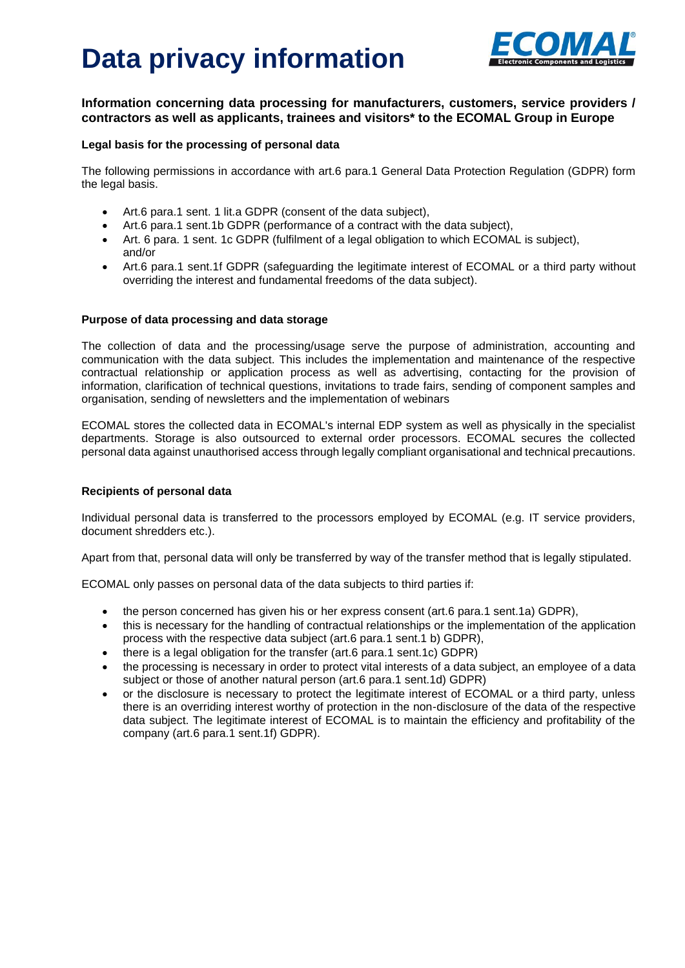

## **Information concerning data processing for manufacturers, customers, service providers / contractors as well as applicants, trainees and visitors\* to the ECOMAL Group in Europe**

### **Legal basis for the processing of personal data**

The following permissions in accordance with art.6 para.1 General Data Protection Regulation (GDPR) form the legal basis.

- Art.6 para.1 sent. 1 lit.a GDPR (consent of the data subject),
- Art.6 para.1 sent.1b GDPR (performance of a contract with the data subject),
- Art. 6 para. 1 sent. 1c GDPR (fulfilment of a legal obligation to which ECOMAL is subject), and/or
- Art.6 para.1 sent.1f GDPR (safeguarding the legitimate interest of ECOMAL or a third party without overriding the interest and fundamental freedoms of the data subject).

#### **Purpose of data processing and data storage**

The collection of data and the processing/usage serve the purpose of administration, accounting and communication with the data subject. This includes the implementation and maintenance of the respective contractual relationship or application process as well as advertising, contacting for the provision of information, clarification of technical questions, invitations to trade fairs, sending of component samples and organisation, sending of newsletters and the implementation of webinars

ECOMAL stores the collected data in ECOMAL's internal EDP system as well as physically in the specialist departments. Storage is also outsourced to external order processors. ECOMAL secures the collected personal data against unauthorised access through legally compliant organisational and technical precautions.

#### **Recipients of personal data**

Individual personal data is transferred to the processors employed by ECOMAL (e.g. IT service providers, document shredders etc.).

Apart from that, personal data will only be transferred by way of the transfer method that is legally stipulated.

ECOMAL only passes on personal data of the data subjects to third parties if:

- the person concerned has given his or her express consent (art.6 para.1 sent.1a) GDPR),
- this is necessary for the handling of contractual relationships or the implementation of the application process with the respective data subject (art.6 para.1 sent.1 b) GDPR),
- there is a legal obligation for the transfer (art.6 para.1 sent.1c) GDPR)
- the processing is necessary in order to protect vital interests of a data subject, an employee of a data subject or those of another natural person (art.6 para.1 sent.1d) GDPR)
- or the disclosure is necessary to protect the legitimate interest of ECOMAL or a third party, unless there is an overriding interest worthy of protection in the non-disclosure of the data of the respective data subject. The legitimate interest of ECOMAL is to maintain the efficiency and profitability of the company (art.6 para.1 sent.1f) GDPR).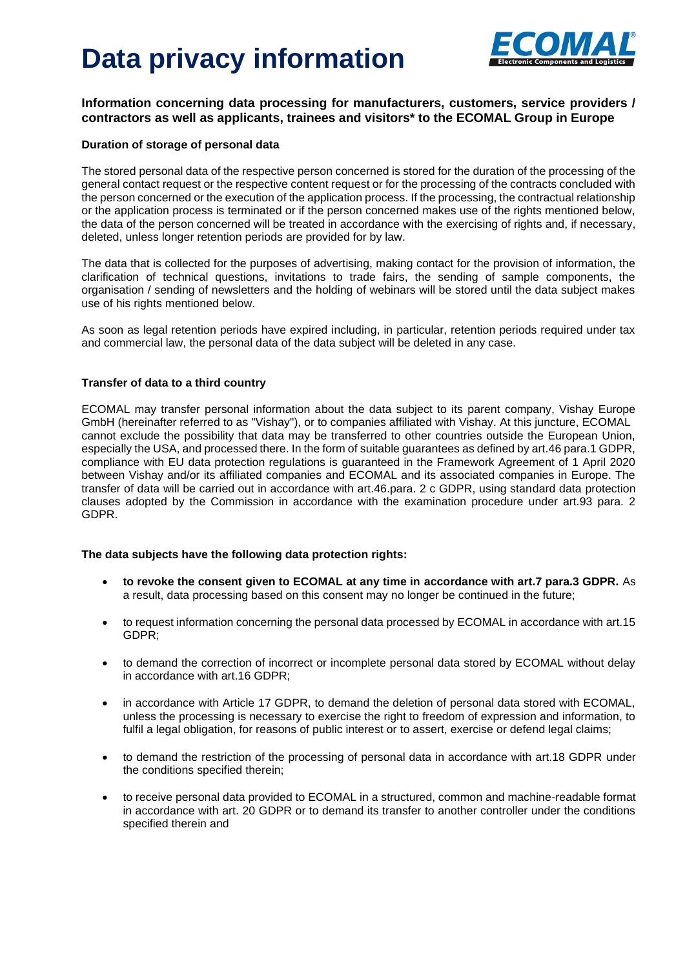

## **Information concerning data processing for manufacturers, customers, service providers / contractors as well as applicants, trainees and visitors\* to the ECOMAL Group in Europe**

### **Duration of storage of personal data**

The stored personal data of the respective person concerned is stored for the duration of the processing of the general contact request or the respective content request or for the processing of the contracts concluded with the person concerned or the execution of the application process. If the processing, the contractual relationship or the application process is terminated or if the person concerned makes use of the rights mentioned below, the data of the person concerned will be treated in accordance with the exercising of rights and, if necessary, deleted, unless longer retention periods are provided for by law.

The data that is collected for the purposes of advertising, making contact for the provision of information, the clarification of technical questions, invitations to trade fairs, the sending of sample components, the organisation / sending of newsletters and the holding of webinars will be stored until the data subject makes use of his rights mentioned below.

As soon as legal retention periods have expired including, in particular, retention periods required under tax and commercial law, the personal data of the data subject will be deleted in any case.

#### **Transfer of data to a third country**

ECOMAL may transfer personal information about the data subject to its parent company, Vishay Europe GmbH (hereinafter referred to as "Vishay"), or to companies affiliated with Vishay. At this juncture, ECOMAL cannot exclude the possibility that data may be transferred to other countries outside the European Union, especially the USA, and processed there. In the form of suitable guarantees as defined by art.46 para.1 GDPR, compliance with EU data protection regulations is guaranteed in the Framework Agreement of 1 April 2020 between Vishay and/or its affiliated companies and ECOMAL and its associated companies in Europe. The transfer of data will be carried out in accordance with art.46.para. 2 c GDPR, using standard data protection clauses adopted by the Commission in accordance with the examination procedure under art.93 para. 2 GDPR.

#### **The data subjects have the following data protection rights:**

- **to revoke the consent given to ECOMAL at any time in accordance with art.7 para.3 GDPR.** As a result, data processing based on this consent may no longer be continued in the future;
- to request information concerning the personal data processed by ECOMAL in accordance with art.15 GDPR;
- to demand the correction of incorrect or incomplete personal data stored by ECOMAL without delay in accordance with art.16 GDPR;
- in accordance with Article 17 GDPR, to demand the deletion of personal data stored with ECOMAL, unless the processing is necessary to exercise the right to freedom of expression and information, to fulfil a legal obligation, for reasons of public interest or to assert, exercise or defend legal claims;
- to demand the restriction of the processing of personal data in accordance with art.18 GDPR under the conditions specified therein;
- to receive personal data provided to ECOMAL in a structured, common and machine-readable format in accordance with art. 20 GDPR or to demand its transfer to another controller under the conditions specified therein and